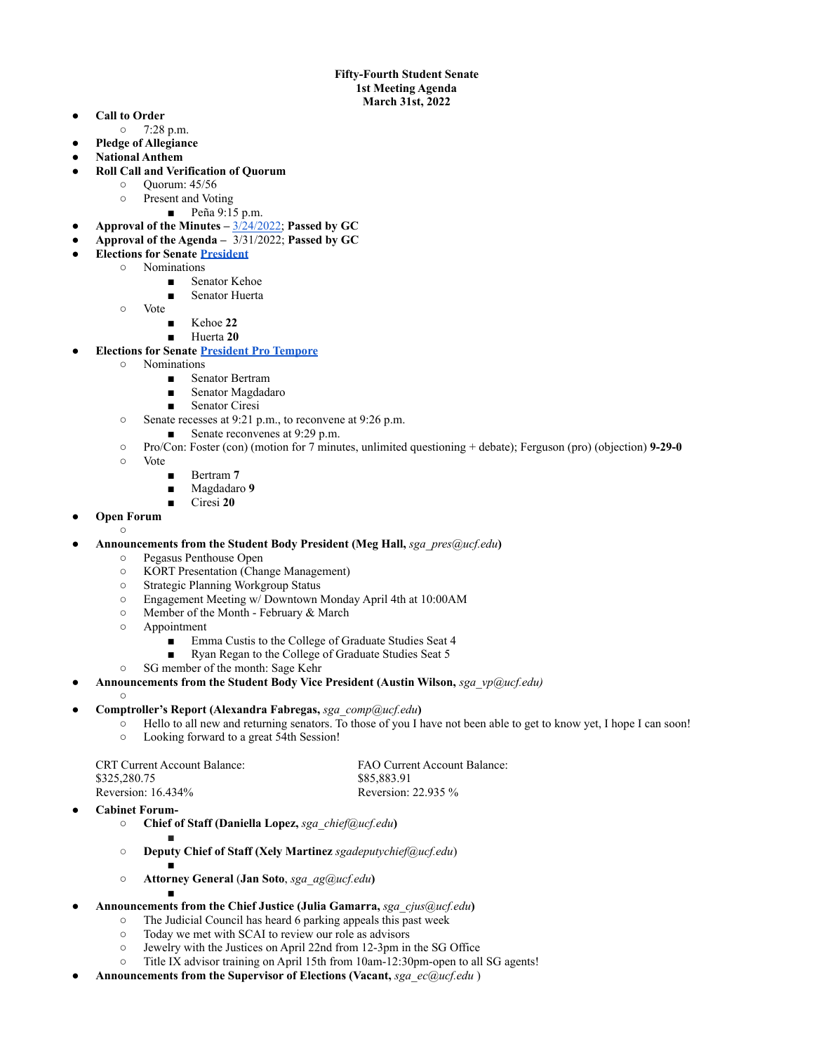## **Fifty-Fourth Student Senate 1st Meeting Agenda March 31st, 2022**

- **Call to Order**
- 7:28 p.m.
- **Pledge of Allegiance**
- **● National Anthem**
- **● Roll Call and Verification of Quorum**
	- Quorum: 45/56
	- Present and Voting
		- Peña 9:15 p.m.
- **Approval of the Minutes –** [3/24/2022;](https://docs.google.com/document/u/0/d/1dz9XtQFrX8_GJM10n9xfxV338KkZZTzd_jPymyOBcpQ/edit) **Passed by GC**
- **Approval of the Agenda –** 3/31/2022; **Passed by GC**
- **● Elections for Senate [President](https://drive.google.com/drive/folders/1YRMTYQ_KfAta2PFZSDwktDkBkIVW-mNH?usp=sharing)**
	- Nominations
		- Senator Kehoe
		- Senator Huerta
		- Vote
			- Kehoe 22
			- Huerta 20

## **● Elections for Senate [President Pro Tempore](https://drive.google.com/drive/folders/1EVQN5QVtsokeXaDqPwDZCMnfCVL6K3yS?usp=sharing)**

- Nominations
	- Senator Bertram
	- Senator Magdadaro
	- Senator Ciresi
- Senate recesses at 9:21 p.m., to reconvene at 9:26 p.m.
- Senate reconvenes at 9:29 p.m.
- Pro/Con: Foster (con) (motion for 7 minutes, unlimited questioning + debate); Ferguson (pro) (objection) **9-29-0**
- Vote
	- Bertram 7
	- Magdadaro 9
	- Ciresi **20**
- **Open Forum**  $\circ$
- **Announcements from the Student Body President (Meg Hall,** *[sga\\_pres@ucf.edu](mailto:sga_pres@ucf.edu)***)**
	- Pegasus Penthouse Open
	- KORT Presentation (Change Management)
	- Strategic Planning Workgroup Status
	- Engagement Meeting w/ Downtown Monday April 4th at 10:00AM
	- Member of the Month February & March
	- Appointment
		- Emma Custis to the College of Graduate Studies Seat 4
		- Ryan Regan to the College of Graduate Studies Seat 5
	- SG member of the month: Sage Kehr
- **Announcements from the Student Body Vice President (Austin Wilson,** *[sga\\_vp@ucf.edu\)](mailto:sga_vp@ucf.edu)*

## ● **Comptroller's Report (Alexandra Fabregas,** *sga\_comp@ucf.edu***)**

- Hello to all new and returning senators. To those of you I have not been able to get to know yet, I hope I can soon!
- Looking forward to a great 54th Session!

| <b>CRT</b> Current Account Balance: | FAO Current Account Balance: |
|-------------------------------------|------------------------------|
| \$325,280.75                        | \$85.883.91                  |
| Reversion: $16.434\%$               | Reversion: $22.935\%$        |

**Cabinet Forum-**

 $\Omega$ 

- **○ Chief of Staff (Daniella Lopez,** *[sga\\_chief@ucf.edu](mailto:sga_chief@ucf.edu)***)** ■
	-

■

- **Deputy Chief of Staff (Xely Martinez** *sgadeputychief@ucf.edu*) ■
- **○ Attorney General** (**Jan Soto**, *[sga\\_ag@ucf.edu](mailto:sga_ag@ucf.edu)***)**
- **Announcements from the Chief Justice (Julia Gamarra,** *[sga\\_cjus@ucf.edu](mailto:sga_cjus@ucf.edu)***)**
	- The Judicial Council has heard 6 parking appeals this past week
	- Today we met with SCAI to review our role as advisors
	- Jewelry with the Justices on April 22nd from 12-3pm in the SG Office
	- Title IX advisor training on April 15th from 10am-12:30pm-open to all SG agents!
- **Announcements from the Supervisor of Elections (Vacant,** *sga\_ec@ucf.edu* )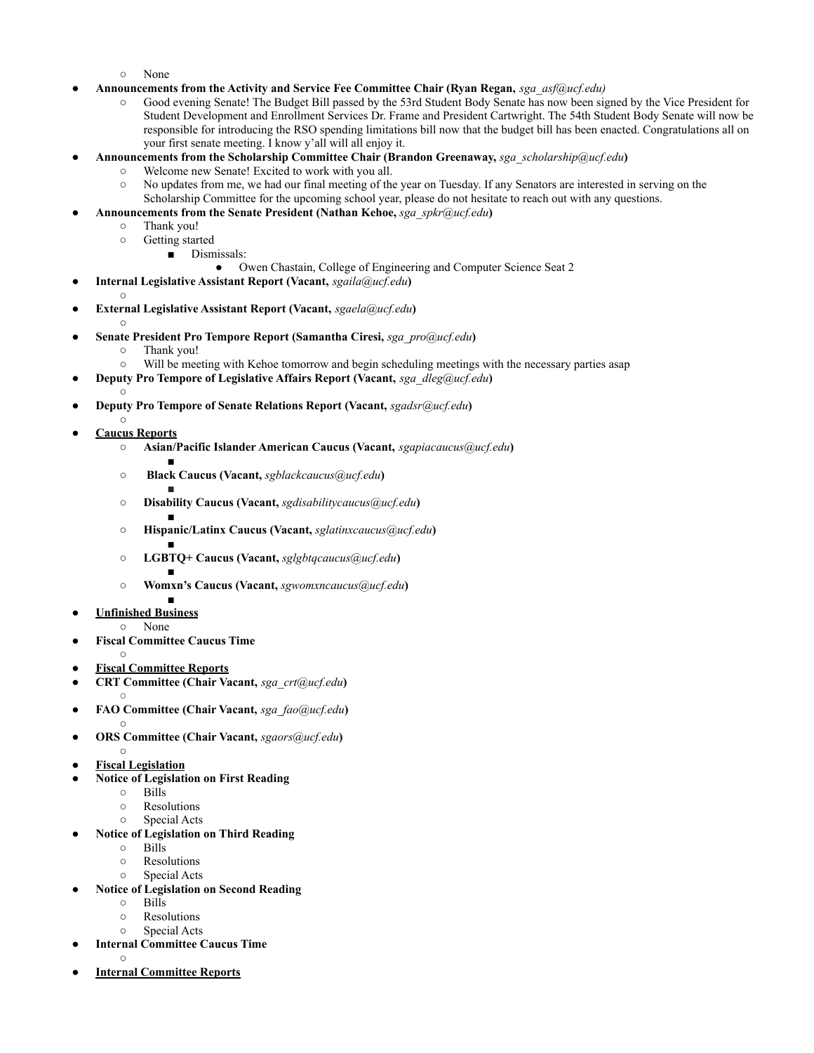- None
- **Announcements from the Activity and Service Fee Committee Chair (Ryan Regan,** *sga\_asf@ucf.edu)*
	- Good evening Senate! The Budget Bill passed by the 53rd Student Body Senate has now been signed by the Vice President for Student Development and Enrollment Services Dr. Frame and President Cartwright. The 54th Student Body Senate will now be responsible for introducing the RSO spending limitations bill now that the budget bill has been enacted. Congratulations all on your first senate meeting. I know y'all will all enjoy it.
- **Announcements from the Scholarship Committee Chair (Brandon Greenaway,** *sga\_scholarship@ucf.edu***)**
	- Welcome new Senate! Excited to work with you all.
	- No updates from me, we had our final meeting of the year on Tuesday. If any Senators are interested in serving on the Scholarship Committee for the upcoming school year, please do not hesitate to reach out with any questions.
	- **Announcements from the Senate President (Nathan Kehoe,** *sga\_spkr@ucf.edu***)**
		- Thank you!
		- Getting started
			- Dismissals:
				- Owen Chastain, College of Engineering and Computer Science Seat 2
- **Internal Legislative Assistant Report (Vacant,** *sgaila@ucf.edu***)**
- ● **External Legislative Assistant Report (Vacant,** *sgaela@ucf.edu***)**
	- ○
- **Senate President Pro Tempore Report (Samantha Ciresi,** *sga\_pro@ucf.edu***)**
	- Thank you!
	- Will be meeting with Kehoe tomorrow and begin scheduling meetings with the necessary parties asap
- **Deputy Pro Tempore of Legislative Affairs Report (Vacant,** *sga\_dleg@ucf.edu***)**
- **● Deputy Pro Tempore of Senate Relations Report (Vacant,** *sgadsr@ucf.edu***)**
- $\circ$ **● Caucus Reports**
	- **○ Asian/Pacific Islander American Caucus (Vacant,** *sgapiacaucus@ucf.edu***)**
	- **○ Black Caucus (Vacant,** *sgblackcaucus@ucf.edu***)**
	- ○ **Disability Caucus (Vacant,** *sgdisabilitycaucus@ucf.edu***)**
	- ○ **Hispanic/Latinx Caucus (Vacant,** *sglatinxcaucus@ucf.edu***)**
	- ○ **LGBTQ+ Caucus (Vacant,** *sglgbtqcaucus@ucf.edu***)**
	- ○ **Womxn's Caucus (Vacant,** *sgwomxncaucus@ucf.edu***)**
- **● Unfinished Business**
	- None
- **● Fiscal Committee Caucus Time**
	- $\circ$
- **Fiscal Committee Reports**
- **CRT Committee (Chair Vacant,** *sga\_crt@ucf.edu***)**
- ○
- **FAO Committee (Chair Vacant,** *sga\_fao@ucf.edu***) ○**
- **ORS Committee (Chair Vacant,** *sgaors@ucf.edu***)** ○
- **Fiscal Legislation**
- **Notice of Legislation on First Reading** 
	- Bills
	- Resolutions
	- Special Acts
- **● Notice of Legislation on Third Reading**
	- Bills
	- Resolutions
	- Special Acts
- **● Notice of Legislation on Second Reading**
	- Bills
	- Resolutions
	- Special Acts
- **Internal Committee Caucus Time**  $\circ$
- **Internal Committee Reports**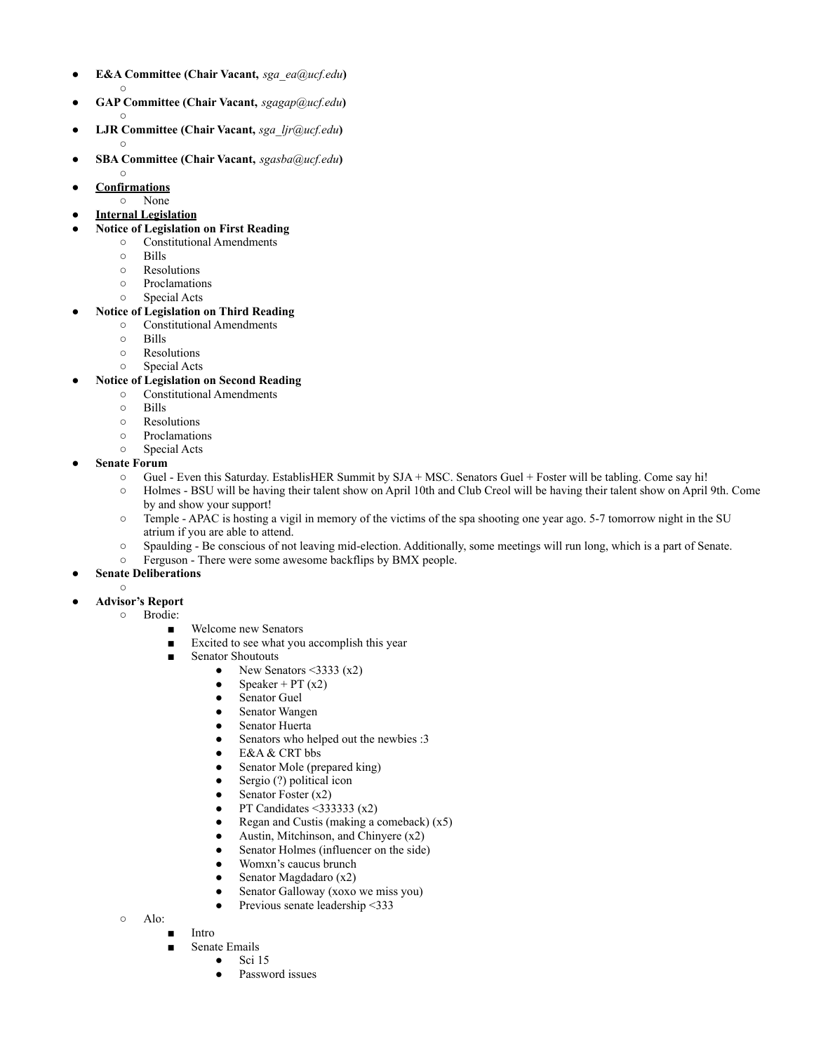- **E&A Committee (Chair Vacant,** *sga\_ea@ucf.edu***)**  $\Omega$
- **GAP Committee (Chair Vacant,** *sgagap@ucf.edu***) ○**
- **LJR Committee (Chair Vacant,** *sga\_ljr@ucf.edu***)**  $\circ$
- **SBA Committee (Chair Vacant,** *sgasba@ucf.edu***)**
- $\circ$ ● **Confirmations**
- None
- **Internal Legislation**
- **● Notice of Legislation on First Reading**
	- Constitutional Amendments
		- Bills
		- Resolutions
		- **○** Proclamations
- Special Acts **● Notice of Legislation on Third Reading**
	- Constitutional Amendments
		- Bills
		- Resolutions
		- Special Acts
- **● Notice of Legislation on Second Reading**
	- Constitutional Amendments
	- Bills
	- Resolutions
	- **○** Proclamations
	- Special Acts
- **Senate Forum** 
	- Guel Even this Saturday. EstablisHER Summit by SJA + MSC. Senators Guel + Foster will be tabling. Come say hi!
	- Holmes BSU will be having their talent show on April 10th and Club Creol will be having their talent show on April 9th. Come by and show your support!
	- Temple APAC is hosting a vigil in memory of the victims of the spa shooting one year ago. 5-7 tomorrow night in the SU atrium if you are able to attend.
	- Spaulding Be conscious of not leaving mid-election. Additionally, some meetings will run long, which is a part of Senate.
	- Ferguson There were some awesome backflips by BMX people.
- **Senate Deliberations** 
	- ○
- **Advisor's Report**
	- **○** Brodie:
		- Welcome new Senators
		- Excited to see what you accomplish this year
		- Senator Shoutouts
			- New Senators  $\leq$ 3333 (x2)
			- Speaker + PT  $(x2)$
			- Senator Guel
			- Senator Wangen
			- Senator Huerta
			- Senators who helped out the newbies :3
			- E&A & CRT bbs
			- Senator Mole (prepared king)
			- Sergio (?) political icon
			- Senator Foster  $(x2)$
			- PT Candidates  $\leq$ 333333 (x2)
			- Regan and Custis (making a comeback)  $(x5)$
			- Austin, Mitchinson, and Chinyere  $(x2)$
			- Senator Holmes (influencer on the side)
			- Womxn's caucus brunch
			- Senator Magdadaro  $(x2)$
			- Senator Galloway (xoxo we miss you)
			- Previous senate leadership <333
	- Alo:
		- **Intro**
		- Senate Emails
			- $\bullet$  Sci 15
			- Password issues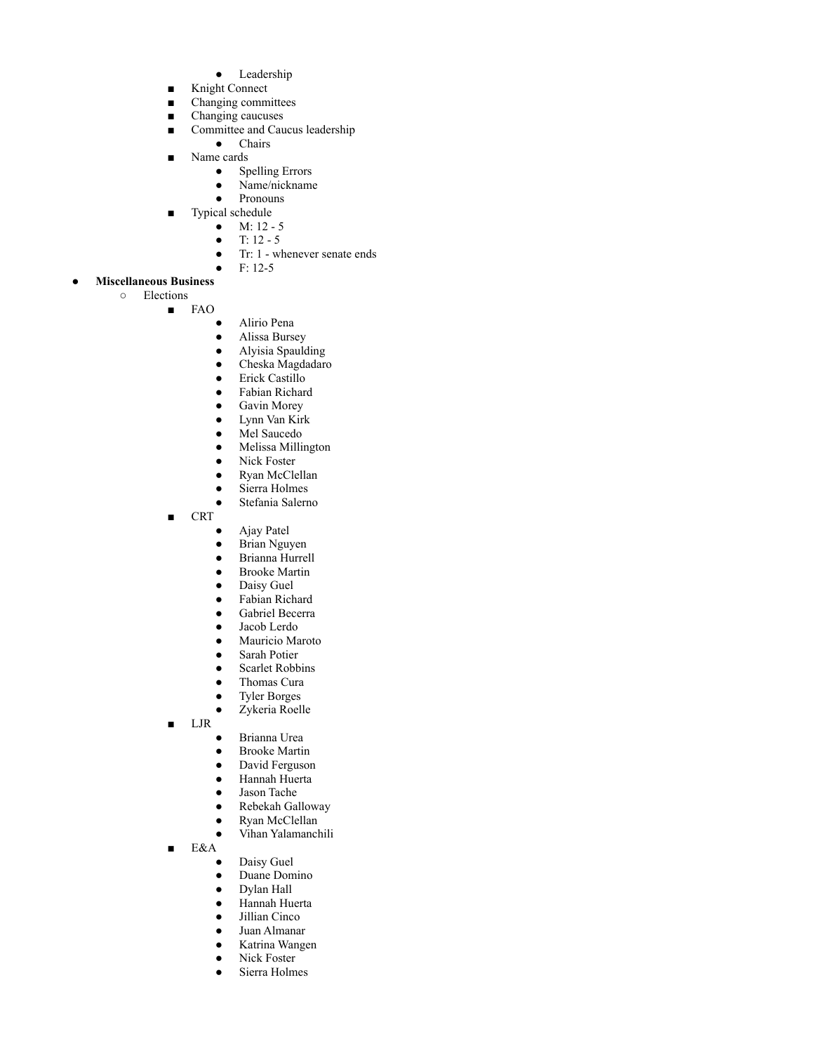- Leadership
- Knight Connect
- Changing committees
- Changing caucuses
- Committee and Caucus leadership
- Chairs
- Name cards
	- Spelling Errors
	- Name/nickname
	- Pronouns
- Typical schedule  $\bullet$  M: 12 - 5
	- $T: 12 5$
	-
	- Tr: 1 whenever senate ends
- $\bullet$  F: 12-5
- **Miscellaneous Business** ○ Elections
	- FAO
		- - Alirio Pena
			- Alissa Bursey
			- Alyisia Spaulding
			- Cheska Magdadaro
			- Erick Castillo
			- Fabian Richard
			- Gavin Morey
			- Lynn Van Kirk
			- Mel Saucedo
			- Melissa Millington
			- Nick Foster
			- Ryan McClellan
			- Sierra Holmes
			- Stefania Salerno
		- CRT
			- Ajay Patel
			- Brian Nguyen
			- Brianna Hurrell
			- Brooke Martin
			- Daisy Guel
			- Fabian Richard
			- Gabriel Becerra
			- Jacob Lerdo
			- Mauricio Maroto
			- Sarah Potier
			- Scarlet Robbins
			- Thomas Cura
			- Tyler Borges
			- Zykeria Roelle
		- LJR
- Brianna Urea
- Brooke Martin
- David Ferguson
- Hannah Huerta
- Jason Tache
- Rebekah Galloway
- Ryan McClellan
- Vihan Yalamanchili
- E&A
	- Daisy Guel
	- Duane Domino
	- Dylan Hall
	- Hannah Huerta
	- Jillian Cinco
	- Juan Almanar
	- Katrina Wangen
	- Nick Foster
	- Sierra Holmes